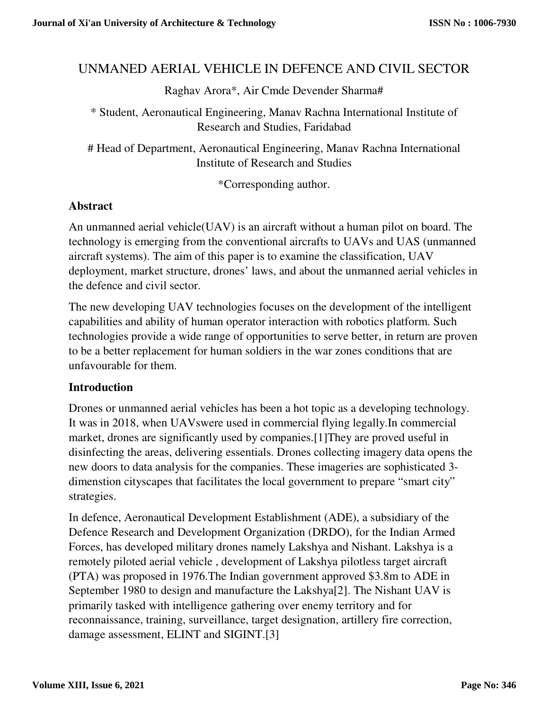# UNMANED AERIAL VEHICLE IN DEFENCE AND CIVIL SECTOR

Raghav Arora\*, Air Cmde Devender Sharma#

\* Student, Aeronautical Engineering, Manav Rachna International Institute of Research and Studies, Faridabad

# Head of Department, Aeronautical Engineering, Manav Rachna International Institute of Research and Studies

\*Corresponding author.

### **Abstract**

An unmanned aerial vehicle(UAV) is an aircraft without a human pilot on board. The technology is emerging from the conventional aircrafts to UAVs and UAS (unmanned aircraft systems). The aim of this paper is to examine the classification, UAV deployment, market structure, drones' laws, and about the unmanned aerial vehicles in the defence and civil sector.

The new developing UAV technologies focuses on the development of the intelligent capabilities and ability of human operator interaction with robotics platform. Such technologies provide a wide range of opportunities to serve better, in return are proven to be a better replacement for human soldiers in the war zones conditions that are unfavourable for them.

#### **Introduction**

Drones or unmanned aerial vehicles has been a hot topic as a developing technology. It was in 2018, when UAVswere used in commercial flying legally.In commercial market, drones are significantly used by companies.[1]They are proved useful in disinfecting the areas, delivering essentials. Drones collecting imagery data opens the new doors to data analysis for the companies. These imageries are sophisticated 3 dimenstion cityscapes that facilitates the local government to prepare "smart city" strategies.

In defence, Aeronautical Development Establishment (ADE), a subsidiary of the Defence Research and Development Organization (DRDO), for the Indian Armed Forces, has developed military drones namely Lakshya and Nishant. Lakshya is a remotely piloted aerial vehicle , development of Lakshya pilotless target aircraft (PTA) was proposed in 1976.The Indian government approved \$3.8m to ADE in September 1980 to design and manufacture the Lakshya[2]. The Nishant UAV is primarily tasked with intelligence gathering over enemy territory and for reconnaissance, training, surveillance, target designation, artillery fire correction, damage assessment, ELINT and SIGINT.[3]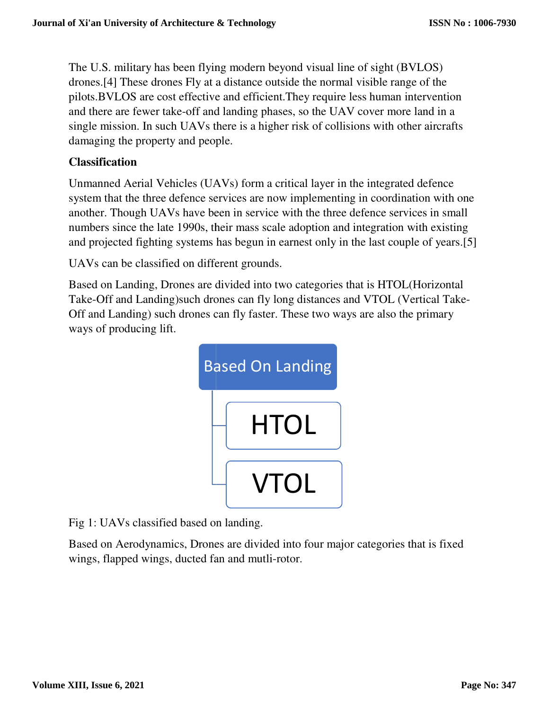The U.S. military has been flying modern beyond visual line of sight (BVLOS) drones.[4] These drones Fly at a distance outside the normal visible range of the pilots. BVLOS are cost effective and efficient. They require less human intervention and there are fewer take-off and landing phases, so the UAV cover more land in a single mission. In such UAVs there is a higher risk of collisions with other aircrafts damaging the property and people.

# **Classification**

damaging the property and people.<br>Classification<br>Unmanned Aerial Vehicles (UAVs) form a critical layer in the integrated defence system that the three defence services are now implementing in coordination with one system that the three defence services are now implementing in coordination with one<br>another. Though UAVs have been in service with the three defence services in small numbers since the late 1990s, their mass scale adoption and integration with existing system that the three defence services are now implementing in coordination with one another. Though UAVs have been in service with the three defence services in small numbers since the late 1990s, their mass scale adoptio

UAVs can be classified on different grounds.

Based on Landing, Drones are divided into two categories that is HTOL(Horizontal Based on Landing, Drones are divided into two categories that is HTOL(Horizontal<br>Take-Off and Landing)such drones can fly long distances and VTOL (Vertical Take-Off and Landing) such drones can fly faster. These two ways are also the primary ways of producing lift.



Fig 1: UAVs classified based on landing.

Based on Aerodynamics, Drones are divided into four major categories that is fixed wings, flapped wings, ducted fan and mutli-rotor.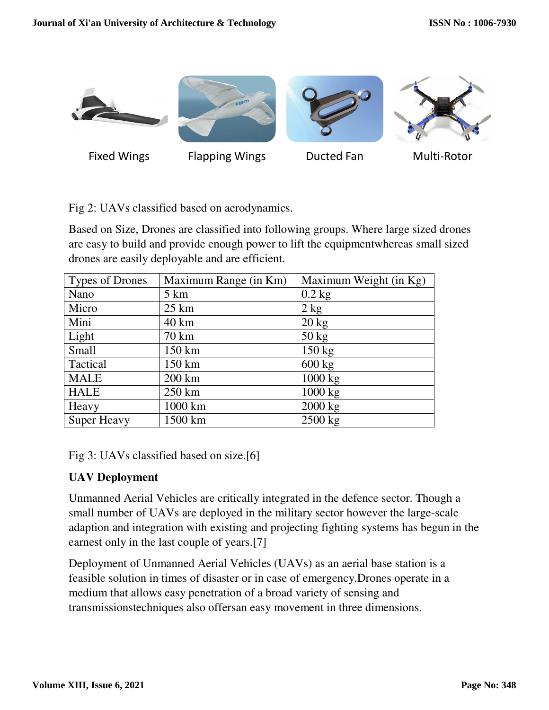

Fig 2: UAVs classified based on aerodynamics.

Based on Size, Drones are classified into following groups. Where large sized drones are easy to build and provide enough power to lift the equipmentwhereas small sized drones are easily deployable and are efficient.

| <b>Types of Drones</b> | Maximum Range (in Km) | Maximum Weight (in Kg) |
|------------------------|-----------------------|------------------------|
| Nano                   | $5 \mathrm{km}$       | $0.2$ kg               |
| Micro                  | $25 \text{ km}$       | $2$ kg                 |
| Mini                   | 40 km                 | $20 \text{ kg}$        |
| Light                  | 70 km                 | $50 \text{ kg}$        |
| Small                  | 150 km                | $150 \text{ kg}$       |
| Tactical               | 150 km                | $600 \text{ kg}$       |
| <b>MALE</b>            | 200 km                | 1000 kg                |
| <b>HALE</b>            | 250 km                | 1000 kg                |
| Heavy                  | 1000 km               | 2000 kg                |
| <b>Super Heavy</b>     | 1500 km               | $2500$ kg              |

Fig 3: UAVs classified based on size.[6]

### **UAV Deployment**

Unmanned Aerial Vehicles are critically integrated in the defence sector. Though a small number of UAVs are deployed in the military sector however the large-scale adaption and integration with existing and projecting fighting systems has begun in the earnest only in the last couple of years.[7]

Deployment of Unmanned Aerial Vehicles (UAVs) as an aerial base station is a feasible solution in times of disaster or in case of emergency.Drones operate in a medium that allows easy penetration of a broad variety of sensing and transmissionstechniques also offersan easy movement in three dimensions.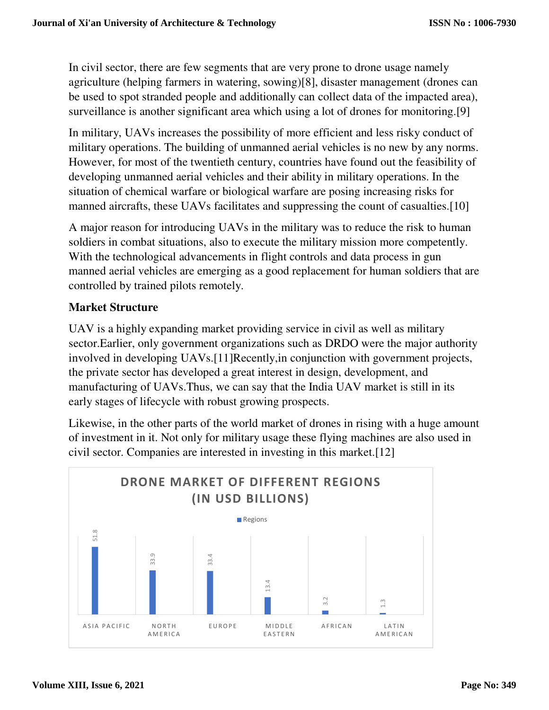In civil sector, there are few segments that are very prone to drone usage namely agriculture (helping farmers in watering, sowing)[8], disaster management (drones can be used to spot stranded people and additionally can collect data of the impacted area), surveillance is another significant area which using a lot of drones for monitoring.[9]

In military, UAVs increases the possibility of more efficient and less risky conduct of military operations. The building of unmanned aerial vehicles is no new by any norms. However, for most of the twentieth century, countries have found out the feasibility of developing unmanned aerial vehicles and their ability in military operations. In the situation of chemical warfare or biological warfare are posing increasing risks for manned aircrafts, these UAVs facilitates and suppressing the count of casualties.[10]

A major reason for introducing UAVs in the military was to reduce the risk to human soldiers in combat situations, also to execute the military mission more competently. With the technological advancements in flight controls and data process in gun manned aerial vehicles are emerging as a good replacement for human soldiers that are controlled by trained pilots remotely.

# **Market Structure**

UAV is a highly expanding market providing service in civil as well as military sector.Earlier, only government organizations such as DRDO were the major authority involved in developing UAVs.<sup>[11]</sup>Recently, in conjunction with government projects, the private sector has developed a great interest in design, development, and manufacturing of UAVs.Thus, we can say that the India UAV market is still in its early stages of lifecycle with robust growing prospects.

Likewise, in the other parts of the world market of drones in rising with a huge amount of investment in it. Not only for military usage these flying machines are also used in civil sector. Companies are interested in investing in this market.[12]

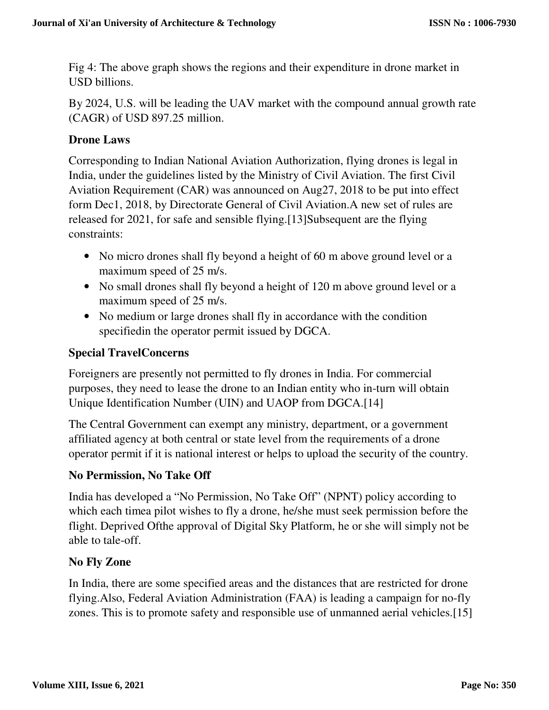Fig 4: The above graph shows the regions and their expenditure in drone market in USD billions.

By 2024, U.S. will be leading the UAV market with the compound annual growth rate (CAGR) of USD 897.25 million.

# **Drone Laws**

Corresponding to Indian National Aviation Authorization, flying drones is legal in India, under the guidelines listed by the Ministry of Civil Aviation. The first Civil Aviation Requirement (CAR) was announced on Aug27, 2018 to be put into effect form Dec1, 2018, by Directorate General of Civil Aviation.A new set of rules are released for 2021, for safe and sensible flying.[13]Subsequent are the flying constraints:

- No micro drones shall fly beyond a height of 60 m above ground level or a maximum speed of 25 m/s.
- No small drones shall fly beyond a height of 120 m above ground level or a maximum speed of 25 m/s.
- No medium or large drones shall fly in accordance with the condition specifiedin the operator permit issued by DGCA.

### **Special TravelConcerns**

Foreigners are presently not permitted to fly drones in India. For commercial purposes, they need to lease the drone to an Indian entity who in-turn will obtain Unique Identification Number (UIN) and UAOP from DGCA.[14]

The Central Government can exempt any ministry, department, or a government affiliated agency at both central or state level from the requirements of a drone operator permit if it is national interest or helps to upload the security of the country.

### **No Permission, No Take Off**

India has developed a "No Permission, No Take Off" (NPNT) policy according to which each timea pilot wishes to fly a drone, he/she must seek permission before the flight. Deprived Ofthe approval of Digital Sky Platform, he or she will simply not be able to tale-off.

### **No Fly Zone**

In India, there are some specified areas and the distances that are restricted for drone flying.Also, Federal Aviation Administration (FAA) is leading a campaign for no-fly zones. This is to promote safety and responsible use of unmanned aerial vehicles.[15]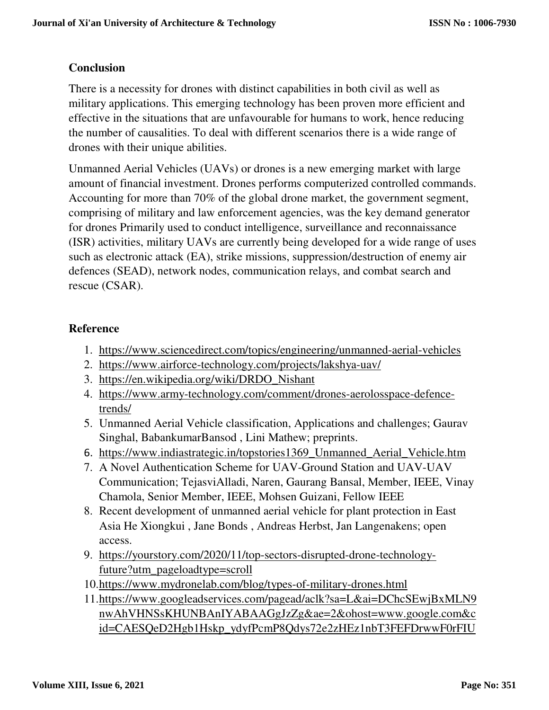# **Conclusion**

There is a necessity for drones with distinct capabilities in both civil as well as military applications. This emerging technology has been proven more efficient and effective in the situations that are unfavourable for humans to work, hence reducing the number of causalities. To deal with different scenarios there is a wide range of drones with their unique abilities.

Unmanned Aerial Vehicles (UAVs) or drones is a new emerging market with large amount of financial investment. Drones performs computerized controlled commands. Accounting for more than 70% of the global drone market, the government segment, comprising of military and law enforcement agencies, was the key demand generator for drones Primarily used to conduct intelligence, surveillance and reconnaissance (ISR) activities, military UAVs are currently being developed for a wide range of uses such as electronic attack (EA), strike missions, suppression/destruction of enemy air defences (SEAD), network nodes, communication relays, and combat search and rescue (CSAR).

# **Reference**

- 1. https://www.sciencedirect.com/topics/engineering/unmanned-aerial-vehicles
- 2. https://www.airforce-technology.com/projects/lakshya-uav/
- 3. https://en.wikipedia.org/wiki/DRDO\_Nishant
- 4. https://www.army-technology.com/comment/drones-aerolosspace-defencetrends/
- 5. Unmanned Aerial Vehicle classification, Applications and challenges; Gaurav Singhal, BabankumarBansod , Lini Mathew; preprints.
- 6. https://www.indiastrategic.in/topstories1369\_Unmanned\_Aerial\_Vehicle.htm
- 7. A Novel Authentication Scheme for UAV-Ground Station and UAV-UAV Communication; TejasviAlladi, Naren, Gaurang Bansal, Member, IEEE, Vinay Chamola, Senior Member, IEEE, Mohsen Guizani, Fellow IEEE
- 8. Recent development of unmanned aerial vehicle for plant protection in East Asia He Xiongkui , Jane Bonds , Andreas Herbst, Jan Langenakens; open access.
- 9. https://yourstory.com/2020/11/top-sectors-disrupted-drone-technologyfuture?utm\_pageloadtype=scroll
- 10.https://www.mydronelab.com/blog/types-of-military-drones.html
- 11.https://www.googleadservices.com/pagead/aclk?sa=L&ai=DChcSEwjBxMLN9 nwAhVHNSsKHUNBAnIYABAAGgJzZg&ae=2&ohost=www.google.com&c id=CAESQeD2Hgb1Hskp\_ydyfPcmP8Qdys72e2zHEz1nbT3FEFDrwwF0rFIU